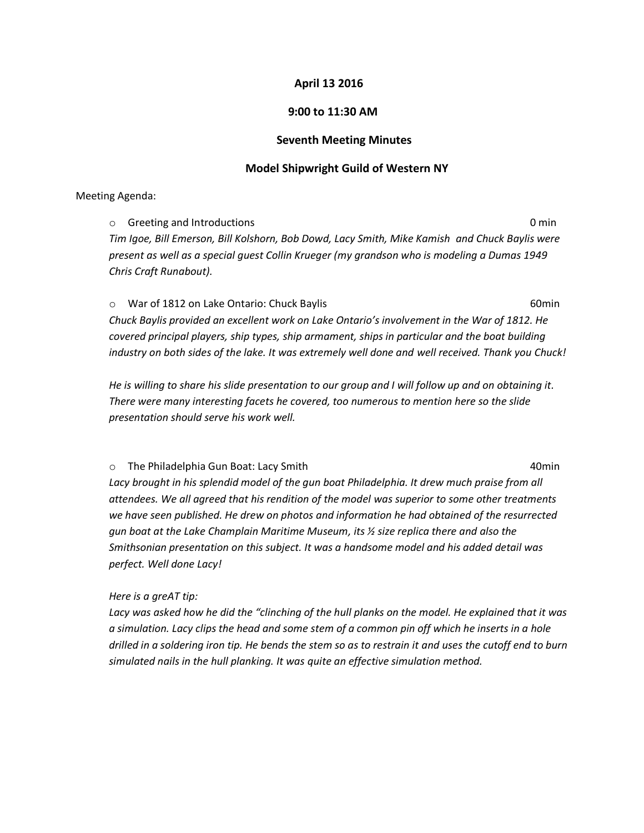# **April 13 2016**

## **9:00 to 11:30 AM**

### **Seventh Meeting Minutes**

# **Model Shipwright Guild of Western NY**

#### Meeting Agenda:

o Greeting and Introductions 0 min *Tim Igoe, Bill Emerson, Bill Kolshorn, Bob Dowd, Lacy Smith, Mike Kamish and Chuck Baylis were present as well as a special guest Collin Krueger (my grandson who is modeling a Dumas 1949 Chris Craft Runabout).*

o War of 1812 on Lake Ontario: Chuck Baylis 60min *Chuck Baylis provided an excellent work on Lake Ontario's involvement in the War of 1812. He covered principal players, ship types, ship armament, ships in particular and the boat building industry on both sides of the lake. It was extremely well done and well received. Thank you Chuck!*

*He is willing to share his slide presentation to our group and I will follow up and on obtaining it. There were many interesting facets he covered, too numerous to mention here so the slide presentation should serve his work well.*

#### o The Philadelphia Gun Boat: Lacy Smith 40min

Lacy brought in his splendid model of the gun boat Philadelphia. It drew much praise from all *attendees. We all agreed that his rendition of the model was superior to some other treatments we have seen published. He drew on photos and information he had obtained of the resurrected gun boat at the Lake Champlain Maritime Museum, its ½ size replica there and also the Smithsonian presentation on this subject. It was a handsome model and his added detail was perfect. Well done Lacy!*

#### *Here is a greAT tip:*

*Lacy was asked how he did the "clinching of the hull planks on the model. He explained that it was a simulation. Lacy clips the head and some stem of a common pin off which he inserts in a hole drilled in a soldering iron tip. He bends the stem so as to restrain it and uses the cutoff end to burn simulated nails in the hull planking. It was quite an effective simulation method.*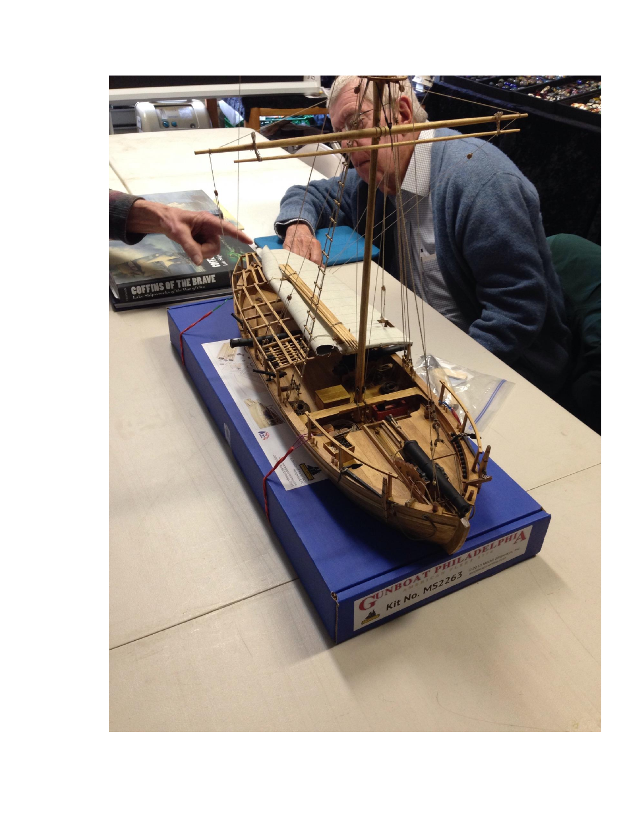